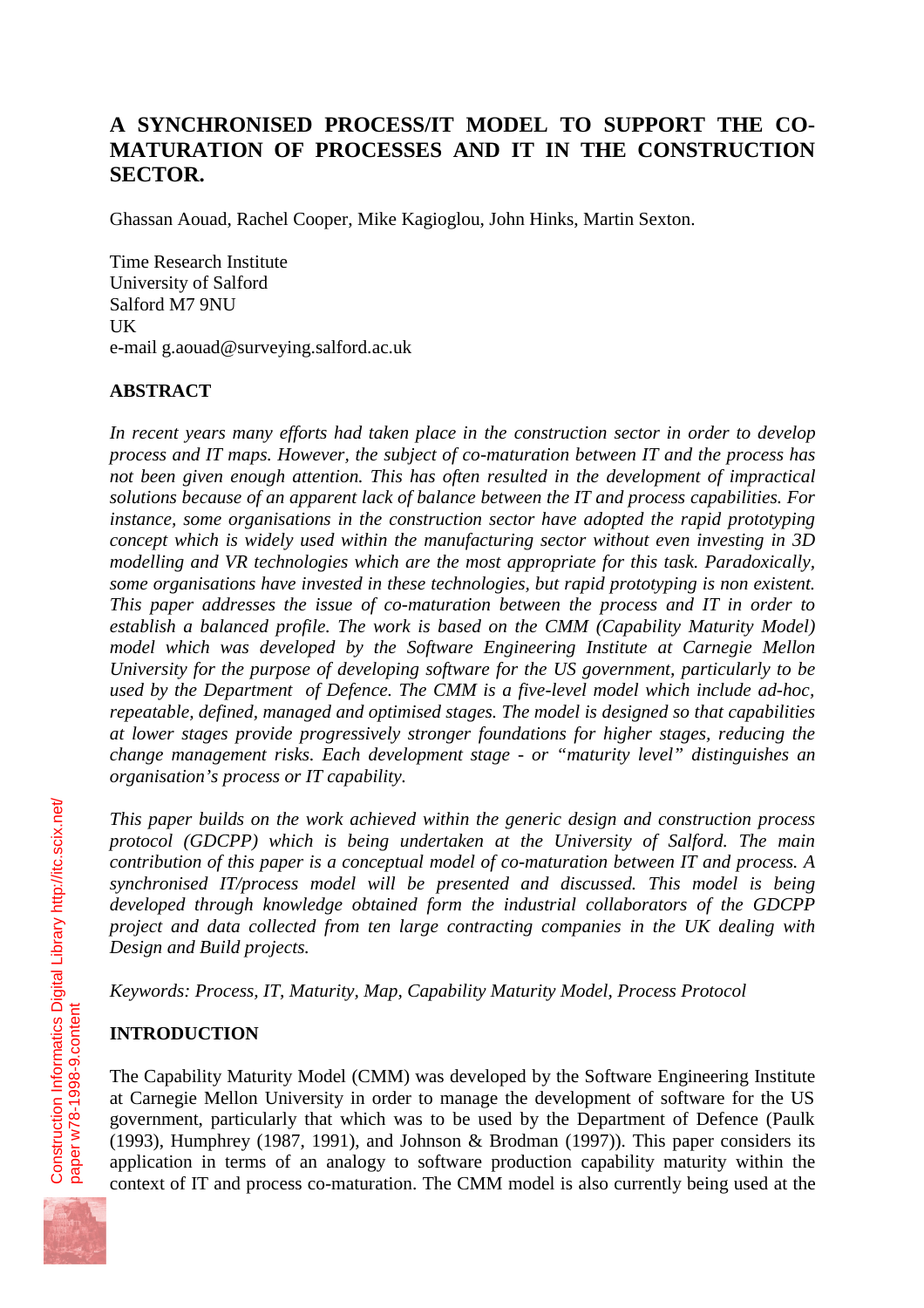# **A SYNCHRONISED PROCESS/IT MODEL TO SUPPORT THE CO-MATURATION OF PROCESSES AND IT IN THE CONSTRUCTION SECTOR.**

Ghassan Aouad, Rachel Cooper, Mike Kagioglou, John Hinks, Martin Sexton.

Time Research Institute University of Salford Salford M7 9NU UK e-mail g.aouad@surveying.salford.ac.uk

## **ABSTRACT**

*In recent years many efforts had taken place in the construction sector in order to develop process and IT maps. However, the subject of co-maturation between IT and the process has not been given enough attention. This has often resulted in the development of impractical solutions because of an apparent lack of balance between the IT and process capabilities. For instance, some organisations in the construction sector have adopted the rapid prototyping concept which is widely used within the manufacturing sector without even investing in 3D modelling and VR technologies which are the most appropriate for this task. Paradoxically, some organisations have invested in these technologies, but rapid prototyping is non existent. This paper addresses the issue of co-maturation between the process and IT in order to establish a balanced profile. The work is based on the CMM (Capability Maturity Model) model which was developed by the Software Engineering Institute at Carnegie Mellon University for the purpose of developing software for the US government, particularly to be used by the Department of Defence. The CMM is a five-level model which include ad-hoc, repeatable, defined, managed and optimised stages. The model is designed so that capabilities at lower stages provide progressively stronger foundations for higher stages, reducing the change management risks. Each development stage - or "maturity level" distinguishes an organisation's process or IT capability.*

*This paper builds on the work achieved within the generic design and construction process protocol (GDCPP) which is being undertaken at the University of Salford. The main contribution of this paper is a conceptual model of co-maturation between IT and process. A synchronised IT/process model will be presented and discussed. This model is being developed through knowledge obtained form the industrial collaborators of the GDCPP project and data collected from ten large contracting companies in the UK dealing with Design and Build projects.*

*Keywords: Process, IT, Maturity, Map, Capability Maturity Model, Process Protocol*

## **INTRODUCTION**

The Capability Maturity Model (CMM) was developed by the Software Engineering Institute at Carnegie Mellon University in order to manage the development of software for the US government, particularly that which was to be used by the Department of Defence (Paulk (1993), Humphrey (1987, 1991), and Johnson & Brodman (1997)). This paper considers its application in terms of an analogy to software production capability maturity within the context of IT and process co-maturation. The CMM model is also currently being used at the

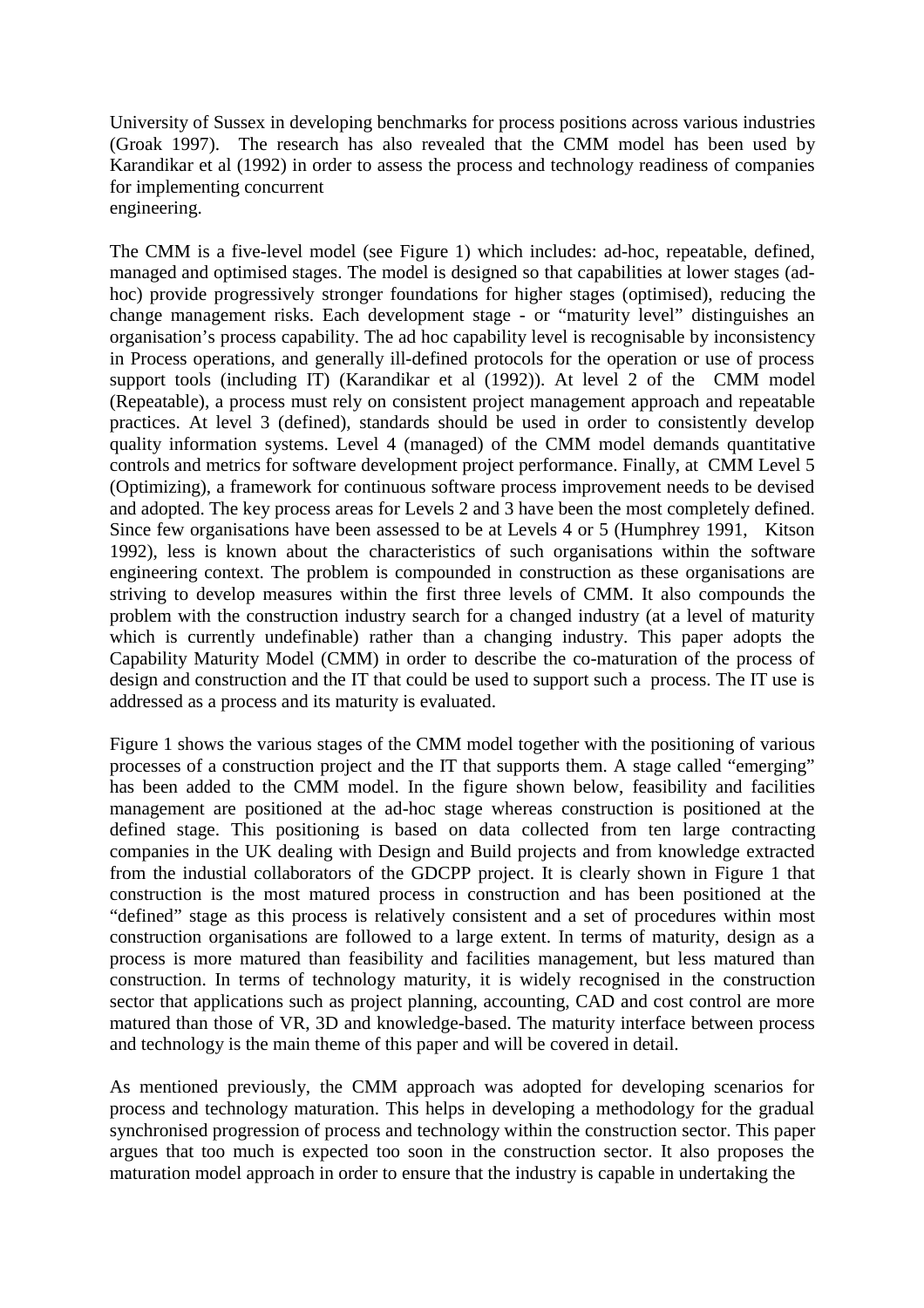University of Sussex in developing benchmarks for process positions across various industries (Groak 1997). The research has also revealed that the CMM model has been used by Karandikar et al (1992) in order to assess the process and technology readiness of companies for implementing concurrent engineering.

The CMM is a five-level model (see Figure 1) which includes: ad-hoc, repeatable, defined, managed and optimised stages. The model is designed so that capabilities at lower stages (adhoc) provide progressively stronger foundations for higher stages (optimised), reducing the change management risks. Each development stage - or "maturity level" distinguishes an organisation's process capability. The ad hoc capability level is recognisable by inconsistency in Process operations, and generally ill-defined protocols for the operation or use of process support tools (including IT) (Karandikar et al (1992)). At level 2 of the CMM model (Repeatable), a process must rely on consistent project management approach and repeatable practices. At level 3 (defined), standards should be used in order to consistently develop quality information systems. Level 4 (managed) of the CMM model demands quantitative controls and metrics for software development project performance. Finally, at CMM Level 5 (Optimizing), a framework for continuous software process improvement needs to be devised and adopted. The key process areas for Levels 2 and 3 have been the most completely defined. Since few organisations have been assessed to be at Levels 4 or 5 (Humphrey 1991, Kitson 1992), less is known about the characteristics of such organisations within the software engineering context. The problem is compounded in construction as these organisations are striving to develop measures within the first three levels of CMM. It also compounds the problem with the construction industry search for a changed industry (at a level of maturity which is currently undefinable) rather than a changing industry. This paper adopts the Capability Maturity Model (CMM) in order to describe the co-maturation of the process of design and construction and the IT that could be used to support such a process. The IT use is addressed as a process and its maturity is evaluated.

Figure 1 shows the various stages of the CMM model together with the positioning of various processes of a construction project and the IT that supports them. A stage called "emerging" has been added to the CMM model. In the figure shown below, feasibility and facilities management are positioned at the ad-hoc stage whereas construction is positioned at the defined stage. This positioning is based on data collected from ten large contracting companies in the UK dealing with Design and Build projects and from knowledge extracted from the industial collaborators of the GDCPP project. It is clearly shown in Figure 1 that construction is the most matured process in construction and has been positioned at the "defined" stage as this process is relatively consistent and a set of procedures within most construction organisations are followed to a large extent. In terms of maturity, design as a process is more matured than feasibility and facilities management, but less matured than construction. In terms of technology maturity, it is widely recognised in the construction sector that applications such as project planning, accounting, CAD and cost control are more matured than those of VR, 3D and knowledge-based. The maturity interface between process and technology is the main theme of this paper and will be covered in detail.

As mentioned previously, the CMM approach was adopted for developing scenarios for process and technology maturation. This helps in developing a methodology for the gradual synchronised progression of process and technology within the construction sector. This paper argues that too much is expected too soon in the construction sector. It also proposes the maturation model approach in order to ensure that the industry is capable in undertaking the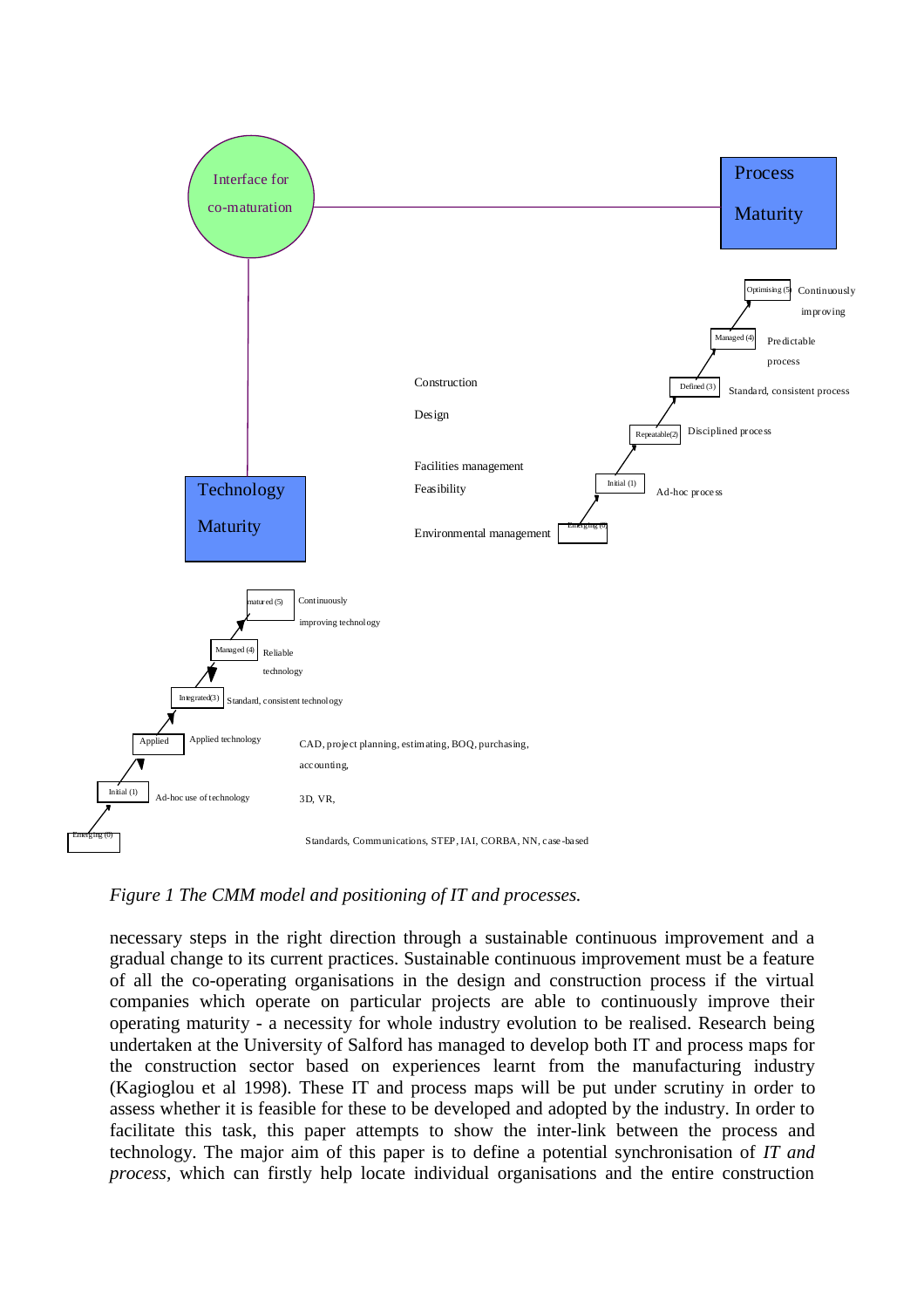

*Figure 1 The CMM model and positioning of IT and processes.*

necessary steps in the right direction through a sustainable continuous improvement and a gradual change to its current practices. Sustainable continuous improvement must be a feature of all the co-operating organisations in the design and construction process if the virtual companies which operate on particular projects are able to continuously improve their operating maturity - a necessity for whole industry evolution to be realised. Research being undertaken at the University of Salford has managed to develop both IT and process maps for the construction sector based on experiences learnt from the manufacturing industry (Kagioglou et al 1998). These IT and process maps will be put under scrutiny in order to assess whether it is feasible for these to be developed and adopted by the industry. In order to facilitate this task, this paper attempts to show the inter-link between the process and technology. The major aim of this paper is to define a potential synchronisation of *IT and process,* which can firstly help locate individual organisations and the entire construction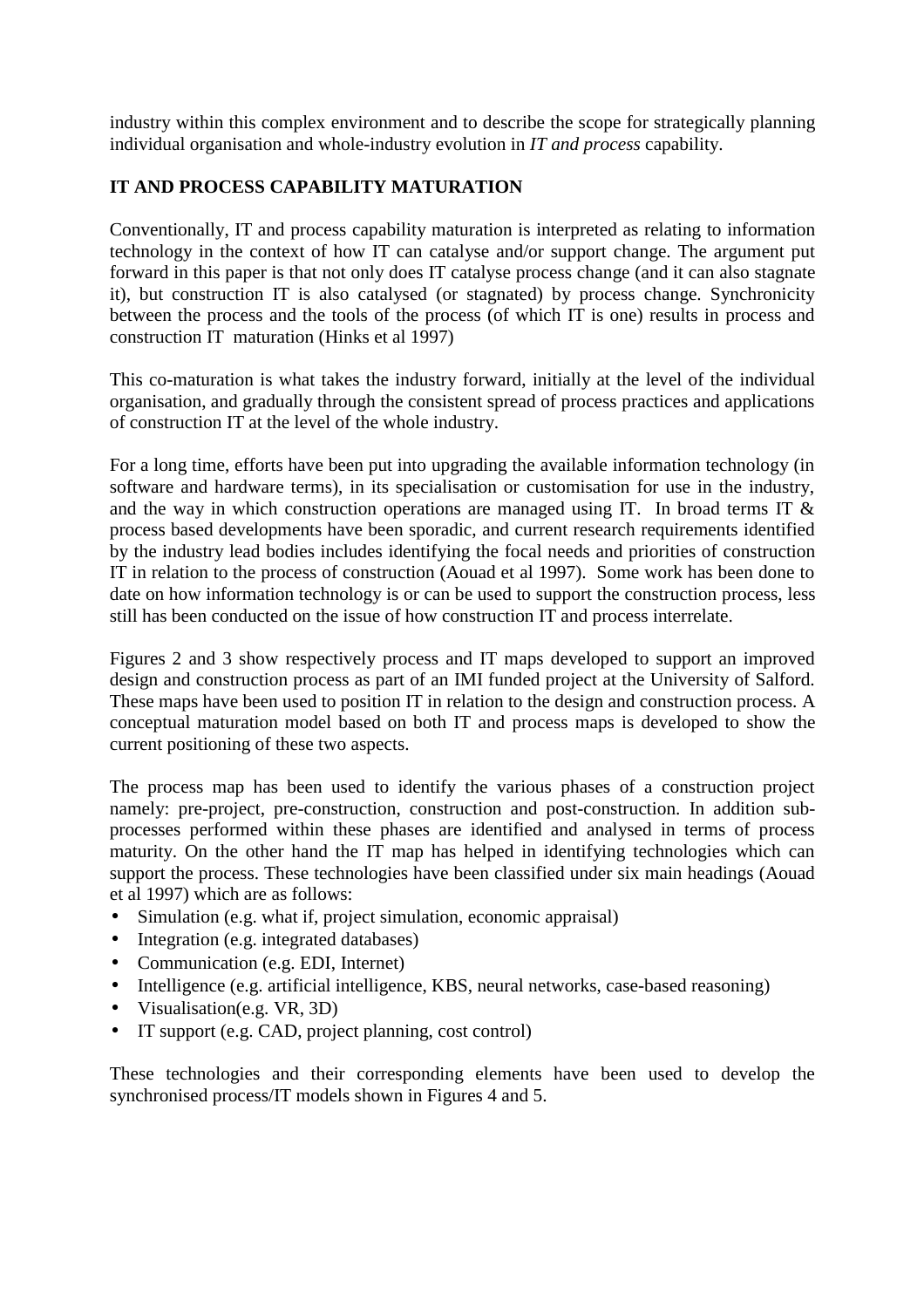industry within this complex environment and to describe the scope for strategically planning individual organisation and whole-industry evolution in *IT and process* capability.

## **IT AND PROCESS CAPABILITY MATURATION**

Conventionally, IT and process capability maturation is interpreted as relating to information technology in the context of how IT can catalyse and/or support change. The argument put forward in this paper is that not only does IT catalyse process change (and it can also stagnate it), but construction IT is also catalysed (or stagnated) by process change. Synchronicity between the process and the tools of the process (of which IT is one) results in process and construction IT maturation (Hinks et al 1997)

This co-maturation is what takes the industry forward, initially at the level of the individual organisation, and gradually through the consistent spread of process practices and applications of construction IT at the level of the whole industry.

For a long time, efforts have been put into upgrading the available information technology (in software and hardware terms), in its specialisation or customisation for use in the industry, and the way in which construction operations are managed using IT. In broad terms IT & process based developments have been sporadic, and current research requirements identified by the industry lead bodies includes identifying the focal needs and priorities of construction IT in relation to the process of construction (Aouad et al 1997). Some work has been done to date on how information technology is or can be used to support the construction process, less still has been conducted on the issue of how construction IT and process interrelate.

Figures 2 and 3 show respectively process and IT maps developed to support an improved design and construction process as part of an IMI funded project at the University of Salford. These maps have been used to position IT in relation to the design and construction process. A conceptual maturation model based on both IT and process maps is developed to show the current positioning of these two aspects.

The process map has been used to identify the various phases of a construction project namely: pre-project, pre-construction, construction and post-construction. In addition subprocesses performed within these phases are identified and analysed in terms of process maturity. On the other hand the IT map has helped in identifying technologies which can support the process. These technologies have been classified under six main headings (Aouad et al 1997) which are as follows:

- Simulation (e.g. what if, project simulation, economic appraisal)
- Integration (e.g. integrated databases)
- Communication (e.g. EDI, Internet)
- Intelligence (e.g. artificial intelligence, KBS, neural networks, case-based reasoning)
- Visualisation(e.g. VR, 3D)
- IT support (e.g. CAD, project planning, cost control)

These technologies and their corresponding elements have been used to develop the synchronised process/IT models shown in Figures 4 and 5.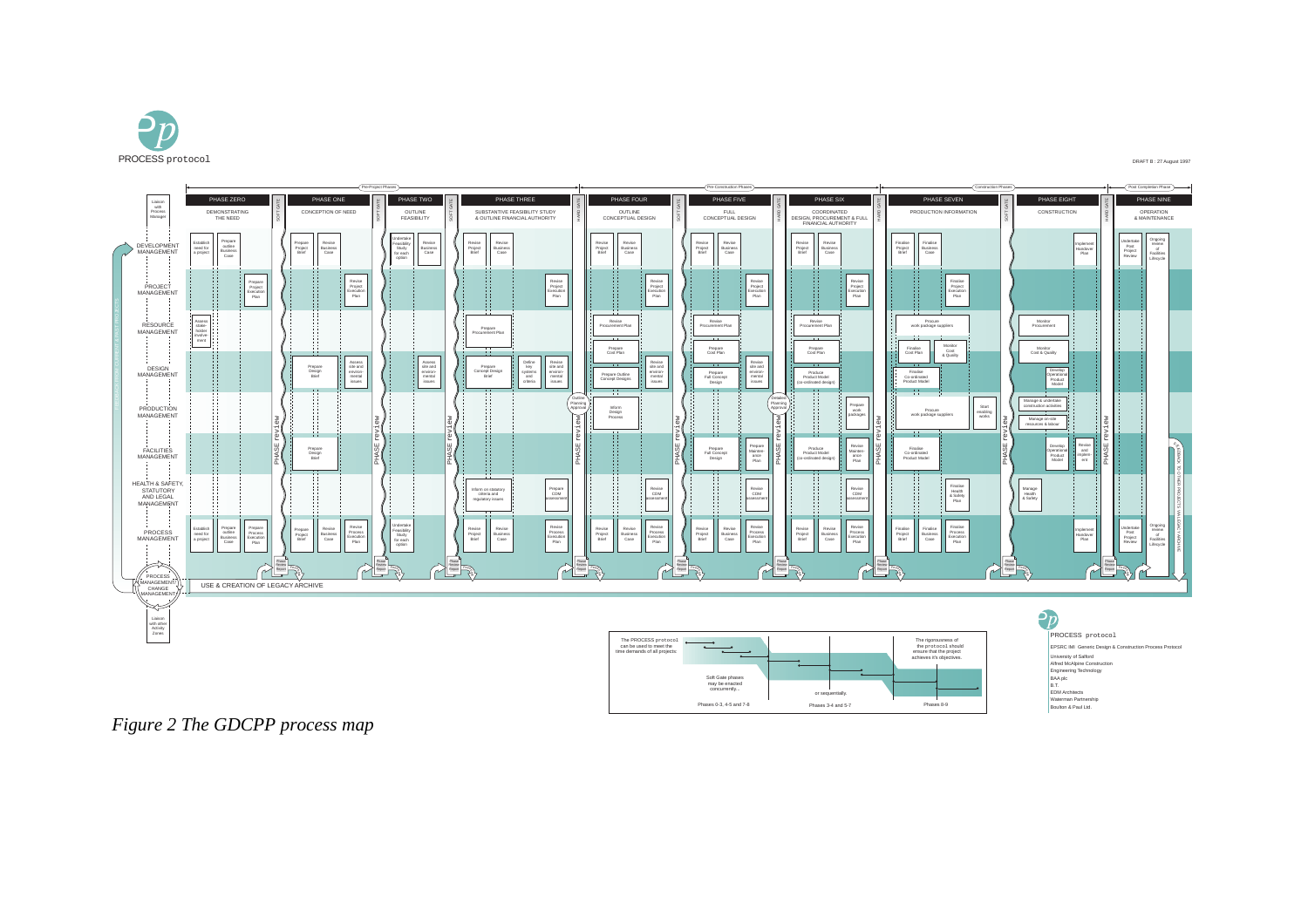

#### DRAFT B : 27 August 1997



*Figure 2 The GDCPP process map*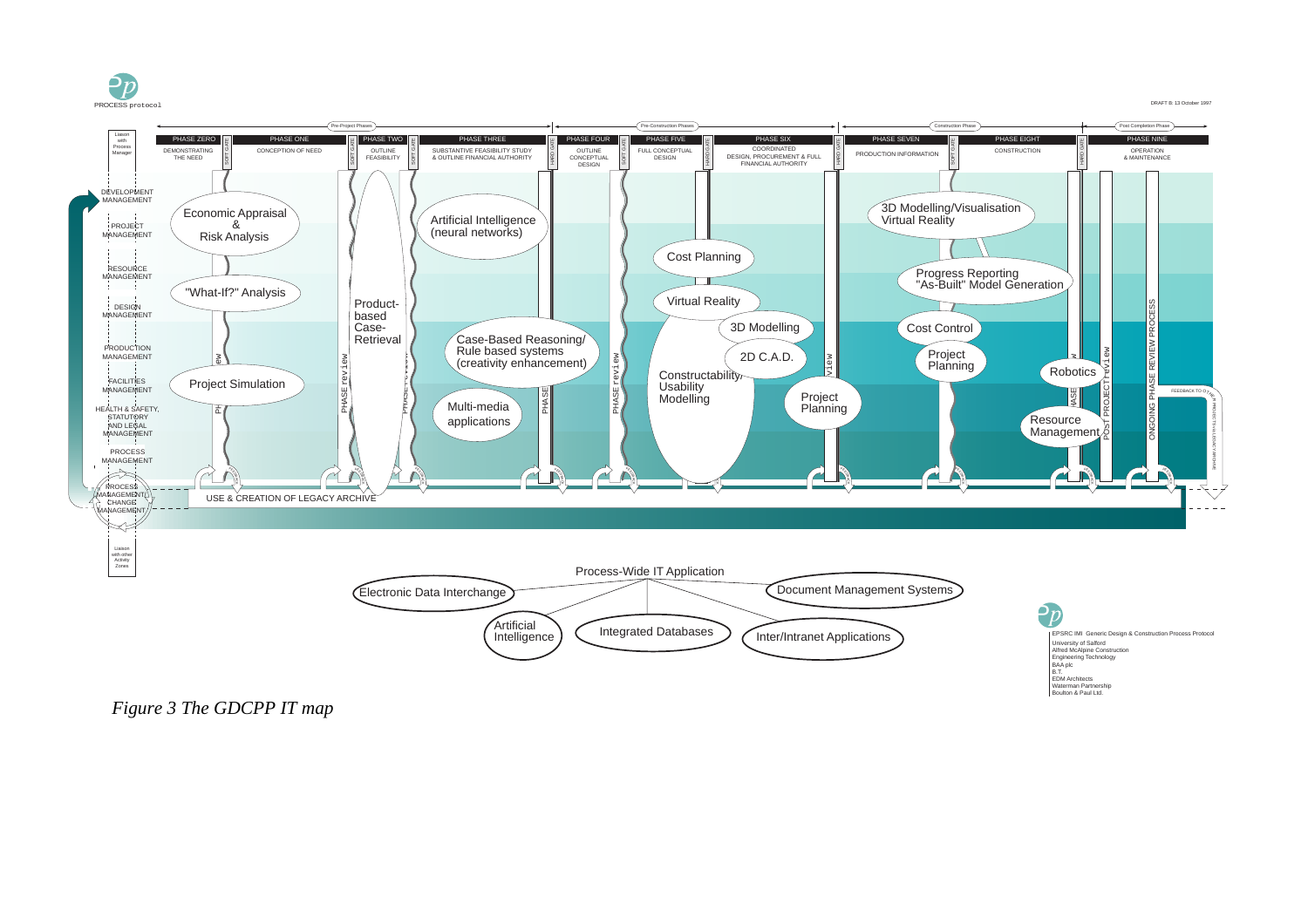

DRAFT B: 13 October 1997

Waterman Partnership Boulton & Paul Ltd.



*Figure 3 The GDCPP IT map*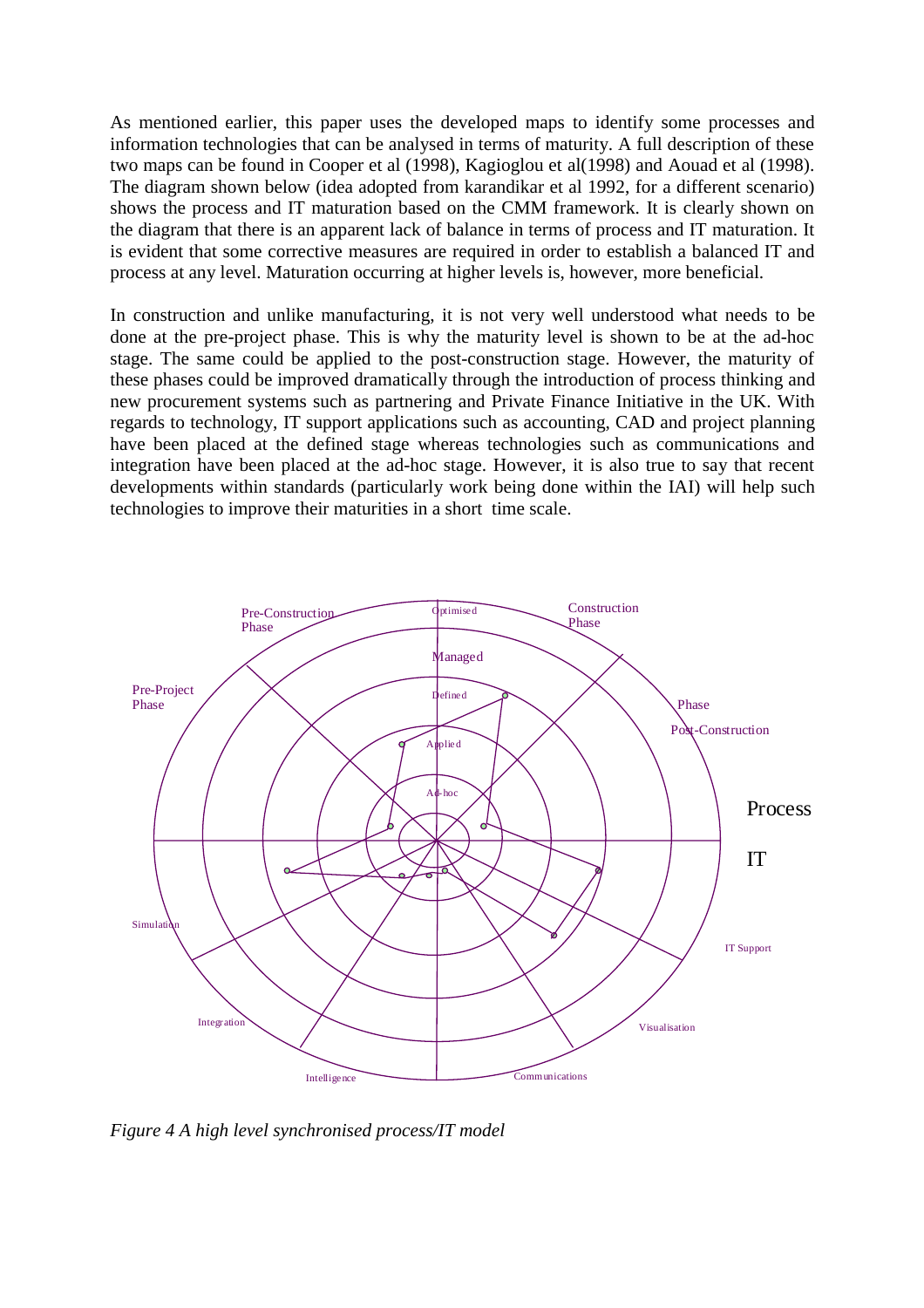As mentioned earlier, this paper uses the developed maps to identify some processes and information technologies that can be analysed in terms of maturity. A full description of these two maps can be found in Cooper et al (1998), Kagioglou et al(1998) and Aouad et al (1998). The diagram shown below (idea adopted from karandikar et al 1992, for a different scenario) shows the process and IT maturation based on the CMM framework. It is clearly shown on the diagram that there is an apparent lack of balance in terms of process and IT maturation. It is evident that some corrective measures are required in order to establish a balanced IT and process at any level. Maturation occurring at higher levels is, however, more beneficial.

In construction and unlike manufacturing, it is not very well understood what needs to be done at the pre-project phase. This is why the maturity level is shown to be at the ad-hoc stage. The same could be applied to the post-construction stage. However, the maturity of these phases could be improved dramatically through the introduction of process thinking and new procurement systems such as partnering and Private Finance Initiative in the UK. With regards to technology, IT support applications such as accounting, CAD and project planning have been placed at the defined stage whereas technologies such as communications and integration have been placed at the ad-hoc stage. However, it is also true to say that recent developments within standards (particularly work being done within the IAI) will help such technologies to improve their maturities in a short time scale.



*Figure 4 A high level synchronised process/IT model*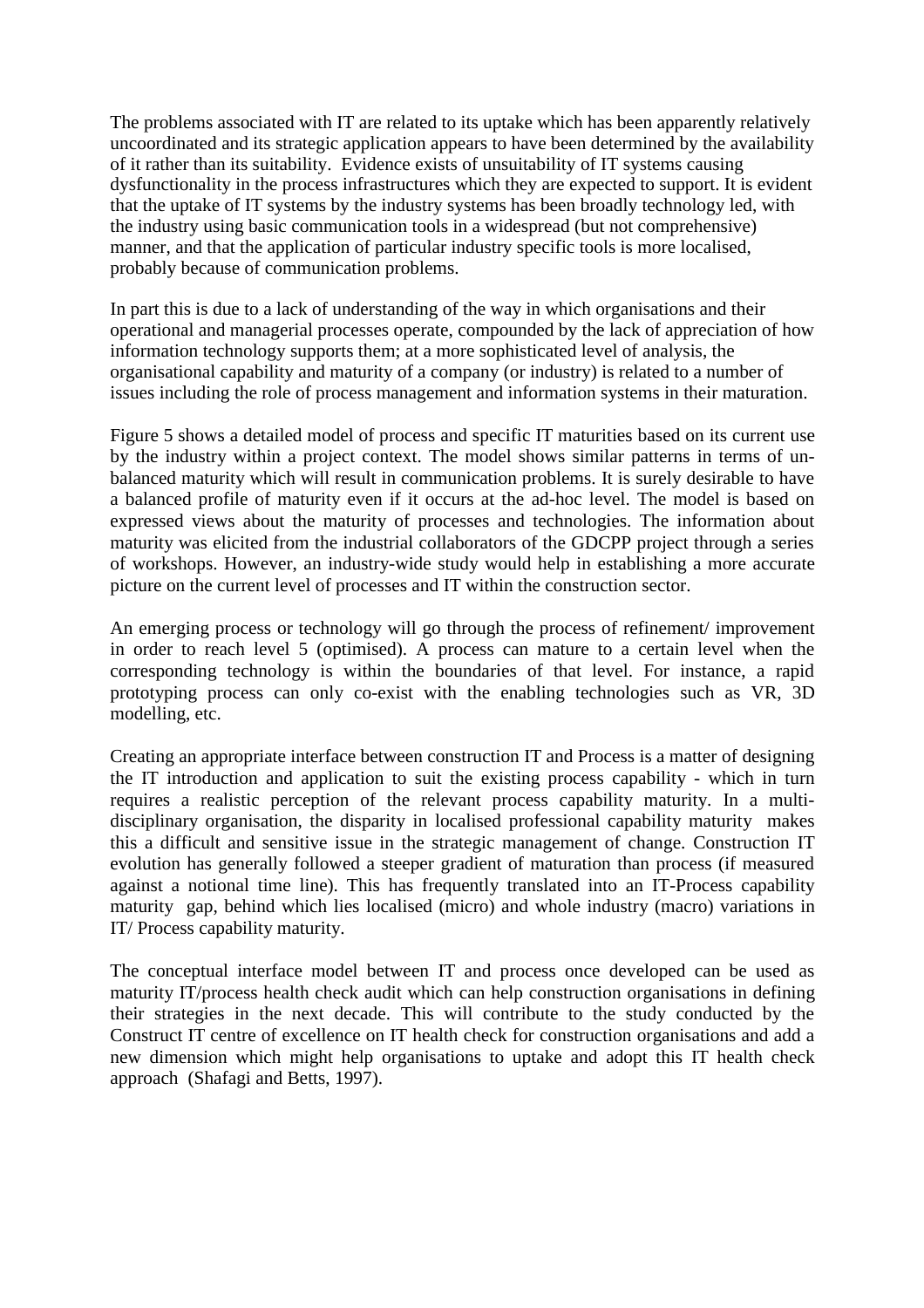The problems associated with IT are related to its uptake which has been apparently relatively uncoordinated and its strategic application appears to have been determined by the availability of it rather than its suitability. Evidence exists of unsuitability of IT systems causing dysfunctionality in the process infrastructures which they are expected to support. It is evident that the uptake of IT systems by the industry systems has been broadly technology led, with the industry using basic communication tools in a widespread (but not comprehensive) manner, and that the application of particular industry specific tools is more localised, probably because of communication problems.

In part this is due to a lack of understanding of the way in which organisations and their operational and managerial processes operate, compounded by the lack of appreciation of how information technology supports them; at a more sophisticated level of analysis, the organisational capability and maturity of a company (or industry) is related to a number of issues including the role of process management and information systems in their maturation.

Figure 5 shows a detailed model of process and specific IT maturities based on its current use by the industry within a project context. The model shows similar patterns in terms of unbalanced maturity which will result in communication problems. It is surely desirable to have a balanced profile of maturity even if it occurs at the ad-hoc level. The model is based on expressed views about the maturity of processes and technologies. The information about maturity was elicited from the industrial collaborators of the GDCPP project through a series of workshops. However, an industry-wide study would help in establishing a more accurate picture on the current level of processes and IT within the construction sector.

An emerging process or technology will go through the process of refinement/ improvement in order to reach level 5 (optimised). A process can mature to a certain level when the corresponding technology is within the boundaries of that level. For instance, a rapid prototyping process can only co-exist with the enabling technologies such as VR, 3D modelling, etc.

Creating an appropriate interface between construction IT and Process is a matter of designing the IT introduction and application to suit the existing process capability - which in turn requires a realistic perception of the relevant process capability maturity. In a multidisciplinary organisation, the disparity in localised professional capability maturity makes this a difficult and sensitive issue in the strategic management of change. Construction IT evolution has generally followed a steeper gradient of maturation than process (if measured against a notional time line). This has frequently translated into an IT-Process capability maturity gap, behind which lies localised (micro) and whole industry (macro) variations in IT/ Process capability maturity.

The conceptual interface model between IT and process once developed can be used as maturity IT/process health check audit which can help construction organisations in defining their strategies in the next decade. This will contribute to the study conducted by the Construct IT centre of excellence on IT health check for construction organisations and add a new dimension which might help organisations to uptake and adopt this IT health check approach (Shafagi and Betts, 1997).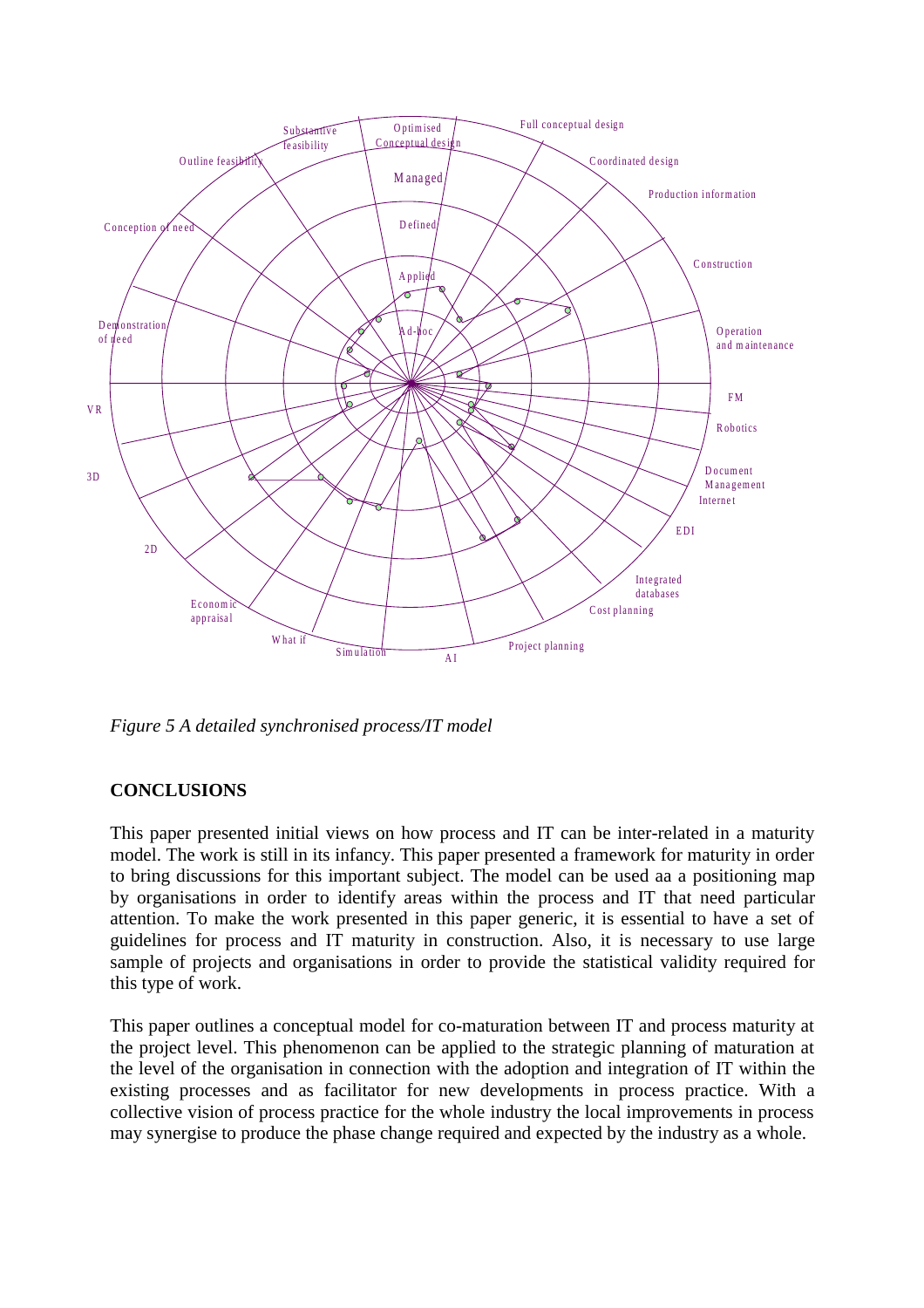

*Figure 5 A detailed synchronised process/IT model*

## **CONCLUSIONS**

This paper presented initial views on how process and IT can be inter-related in a maturity model. The work is still in its infancy. This paper presented a framework for maturity in order to bring discussions for this important subject. The model can be used aa a positioning map by organisations in order to identify areas within the process and IT that need particular attention. To make the work presented in this paper generic, it is essential to have a set of guidelines for process and IT maturity in construction. Also, it is necessary to use large sample of projects and organisations in order to provide the statistical validity required for this type of work.

This paper outlines a conceptual model for co-maturation between IT and process maturity at the project level. This phenomenon can be applied to the strategic planning of maturation at the level of the organisation in connection with the adoption and integration of IT within the existing processes and as facilitator for new developments in process practice. With a collective vision of process practice for the whole industry the local improvements in process may synergise to produce the phase change required and expected by the industry as a whole.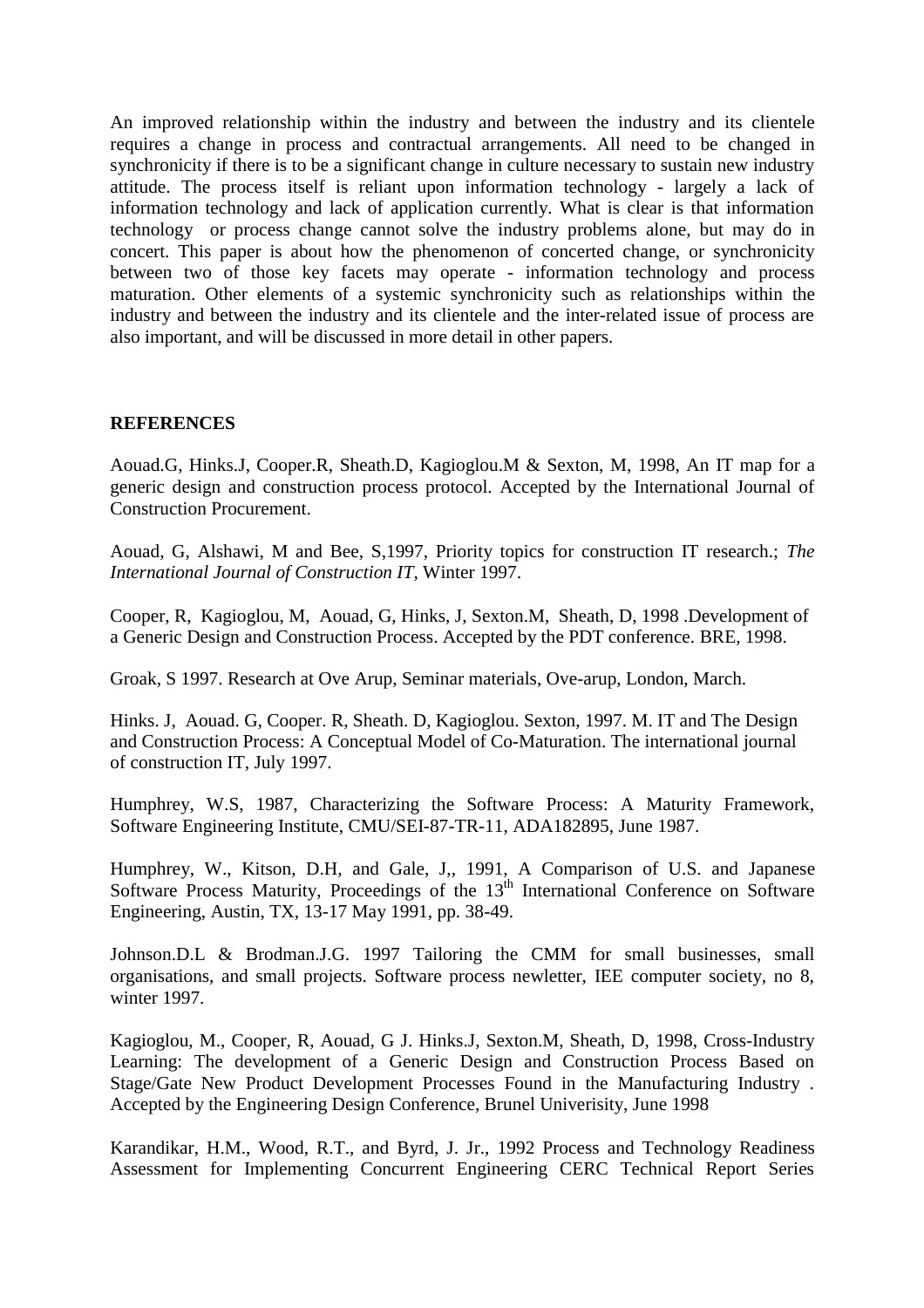An improved relationship within the industry and between the industry and its clientele requires a change in process and contractual arrangements. All need to be changed in synchronicity if there is to be a significant change in culture necessary to sustain new industry attitude. The process itself is reliant upon information technology - largely a lack of information technology and lack of application currently. What is clear is that information technology or process change cannot solve the industry problems alone, but may do in concert. This paper is about how the phenomenon of concerted change, or synchronicity between two of those key facets may operate - information technology and process maturation. Other elements of a systemic synchronicity such as relationships within the industry and between the industry and its clientele and the inter-related issue of process are also important, and will be discussed in more detail in other papers.

### **REFERENCES**

Aouad.G, Hinks.J, Cooper.R, Sheath.D, Kagioglou.M & Sexton, M, 1998, An IT map for a generic design and construction process protocol. Accepted by the International Journal of Construction Procurement.

Aouad, G, Alshawi, M and Bee, S,1997, Priority topics for construction IT research.; *The International Journal of Construction IT*, Winter 1997.

Cooper, R, Kagioglou, M, Aouad, G, Hinks, J, Sexton.M, Sheath, D, 1998 .Development of a Generic Design and Construction Process. Accepted by the PDT conference. BRE, 1998.

Groak, S 1997. Research at Ove Arup, Seminar materials, Ove-arup, London, March.

Hinks. J, Aouad. G, Cooper. R, Sheath. D, Kagioglou. Sexton, 1997. M. IT and The Design and Construction Process: A Conceptual Model of Co-Maturation. The international journal of construction IT, July 1997.

Humphrey, W.S, 1987, Characterizing the Software Process: A Maturity Framework, Software Engineering Institute, CMU/SEI-87-TR-11, ADA182895, June 1987.

Humphrey, W., Kitson, D.H, and Gale, J,, 1991, A Comparison of U.S. and Japanese Software Process Maturity, Proceedings of the 13<sup>th</sup> International Conference on Software Engineering, Austin, TX, 13-17 May 1991, pp. 38-49.

Johnson.D.L & Brodman.J.G. 1997 Tailoring the CMM for small businesses, small organisations, and small projects. Software process newletter, IEE computer society, no 8, winter 1997.

Kagioglou, M., Cooper, R, Aouad, G J. Hinks.J, Sexton.M, Sheath, D, 1998, Cross-Industry Learning: The development of a Generic Design and Construction Process Based on Stage/Gate New Product Development Processes Found in the Manufacturing Industry . Accepted by the Engineering Design Conference, Brunel Univerisity, June 1998

Karandikar, H.M., Wood, R.T., and Byrd, J. Jr., 1992 Process and Technology Readiness Assessment for Implementing Concurrent Engineering CERC Technical Report Series